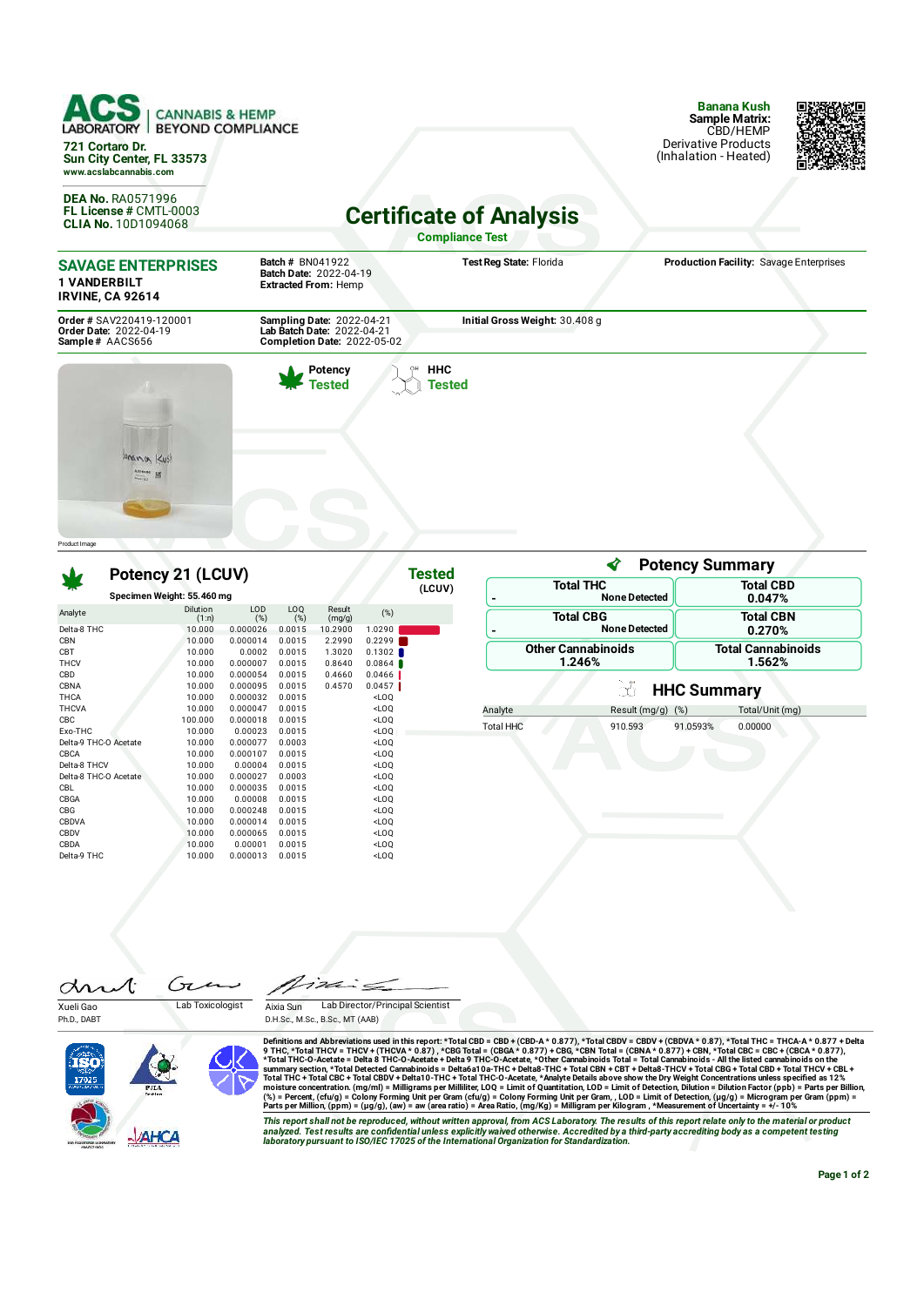| AC<br><b>CANNABIS &amp; HEMP</b><br><b>BEYOND COMPLIANCE</b><br>LABORATORY  <br>721 Cortaro Dr.<br>Sun City Center, FL 33573<br>www.acslabcannabis.com |                                                                                               |                                | <b>Banana Kush</b><br><b>Sample Matrix:</b><br>CBD/HEMP<br>Derivative Products<br>(Inhalation - Heated) |  |
|--------------------------------------------------------------------------------------------------------------------------------------------------------|-----------------------------------------------------------------------------------------------|--------------------------------|---------------------------------------------------------------------------------------------------------|--|
| <b>DEA No. RA0571996</b><br>FL License # CMTL-0003<br>CLIA No. 10D1094068                                                                              | <b>Certificate of Analysis</b><br><b>Compliance Test</b>                                      |                                |                                                                                                         |  |
| <b>SAVAGE ENTERPRISES</b><br><b>1 VANDERBILT</b><br><b>IRVINE, CA 92614</b>                                                                            | <b>Batch # BN041922</b><br>Batch Date: 2022-04-19<br><b>Extracted From: Hemp</b>              | Test Reg State: Florida        | Production Facility: Savage Enterprises                                                                 |  |
| Order # SAV220419-120001<br>Order Date: 2022-04-19<br>Sample# AACS656                                                                                  | Sampling Date: 2022-04-21<br>Lab Batch Date: 2022-04-21<br><b>Completion Date: 2022-05-02</b> | Initial Gross Weight: 30.408 g |                                                                                                         |  |
| Anana Kus<br><b>MCSBBS</b>                                                                                                                             | Potency<br><b>Tested</b>                                                                      | <b>HHC</b><br>Tested           |                                                                                                         |  |

|                       |                            | Potency 21 (LCUV) |                    |                  |                  |                  | Tested | ∢<br><b>Potency Summary</b>              |                           |                            |                    |
|-----------------------|----------------------------|-------------------|--------------------|------------------|------------------|------------------|--------|------------------------------------------|---------------------------|----------------------------|--------------------|
|                       | Specimen Weight: 55.460 mg |                   |                    |                  |                  | (LCUV)<br>-      |        | <b>Total THC</b><br><b>None Detected</b> |                           | <b>Total CBD</b><br>0.047% |                    |
| Analyte               |                            | Dilution<br>(1:n) | LOD<br>(%)         | LOQ<br>(%)       | Result<br>(mg/g) | (%)              |        |                                          | <b>Total CBG</b>          |                            | <b>Total CBN</b>   |
| Delta-8 THC           |                            | 10,000            | 0.000026           | 0.0015           | 10.2900          | 1.0290           |        |                                          | <b>None Detected</b>      |                            | 0.270%             |
| <b>CBN</b>            |                            | 10.000            | 0.000014           | 0.0015           | 2.2990           | 0.2299           |        |                                          | <b>Other Cannabinoids</b> |                            | Total Cannabinoids |
| CBT<br><b>THCV</b>    |                            | 10.000<br>10.000  | 0.0002<br>0.000007 | 0.0015<br>0.0015 | 1.3020<br>0.8640 | 0.1302<br>0.0864 |        |                                          | 1.246%                    |                            | 1.562%             |
| CBD                   |                            | 10.000            | 0.000054           | 0.0015           | 0.4660           | 0.0466           |        |                                          |                           |                            |                    |
| CBNA                  |                            | 10.000            | 0.000095           | 0.0015           | 0.4570           | 0.0457           |        |                                          |                           |                            |                    |
| <b>THCA</b>           |                            | 10.000            | 0.000032           | 0.0015           |                  | $<$ LOQ          |        |                                          | CÓ.                       | <b>HHC Summary</b>         |                    |
| <b>THCVA</b>          |                            | 10,000            | 0.000047           | 0.0015           |                  | $<$ LOQ          |        | Analyte                                  | Result (mg/g)             | (%)                        | Total/Unit (mg)    |
| CBC                   |                            | 100.000           | 0.000018           | 0.0015           |                  | $<$ LOQ          |        |                                          |                           |                            |                    |
| Exo-THC               |                            | 10.000            | 0.00023            | 0.0015           |                  | $<$ LOO          |        | <b>Total HHC</b>                         | 910.593                   | 91.0593%                   | 0.00000            |
| Delta-9 THC-O Acetate |                            | 10.000            | 0.000077           | 0.0003           |                  | $<$ LOQ          |        |                                          |                           |                            |                    |
| CBCA                  |                            | 10.000            | 0.000107           | 0.0015           |                  | $<$ LOO          |        |                                          |                           |                            |                    |
| Delta-8 THCV          |                            | 10.000            | 0.00004            | 0.0015           |                  | $<$ LOO          |        |                                          |                           |                            |                    |
|                       | Delta-8 THC-O Acetate      | 10.000            | 0.000027           | 0.0003           |                  | $<$ LOO          |        |                                          |                           |                            |                    |
| CBL                   |                            | 10.000            | 0.000035           | 0.0015           |                  | $<$ LOQ          |        |                                          |                           |                            |                    |
| CBGA                  |                            | 10.000            | 0.00008            | 0.0015           |                  | $<$ LOO          |        |                                          |                           |                            |                    |
| CBG                   |                            | 10.000            | 0.000248           | 0.0015           |                  | $<$ LOQ          |        |                                          |                           |                            |                    |
| CBDVA                 |                            | 10.000            | 0.000014           | 0.0015           |                  | $<$ LOQ          |        |                                          |                           |                            |                    |
| CBDV                  |                            | 10,000            | 0.000065           | 0.0015           |                  | $<$ LOQ          |        |                                          |                           |                            |                    |
| CBDA                  |                            | 10.000            | 0.00001            | 0.0015           |                  | $<$ LOQ          |        |                                          |                           |                            |                    |
| Delta-9 THC           |                            | 10.000            | 0.000013           | 0.0015           |                  | $<$ LOQ          |        |                                          |                           |                            |                    |

Ćπ Æ dri Xueli Gao Lab Toxicologist

1262  $\frac{1}{2}$ 

Ph.D., DABT

Product I mage







Definitions and Abbreviations used in this report: \*Total CBD = CBD + (CBD-A \* 0.877), \*Total CBDV = CBDV + (CBDA \* 0.877), \*Total THC = THCA A \* 0.877) + CBD<br>9 THC, \*Total THCV = THCA A \* 0.877 + OBG Total = CBGA \* 0.877

This report shall not be reproduced, without written approval, from ACS Laboratory. The results of this report relate only to the material or product<br>analyzed. Test results are confidential unless explicitly waived otherwi